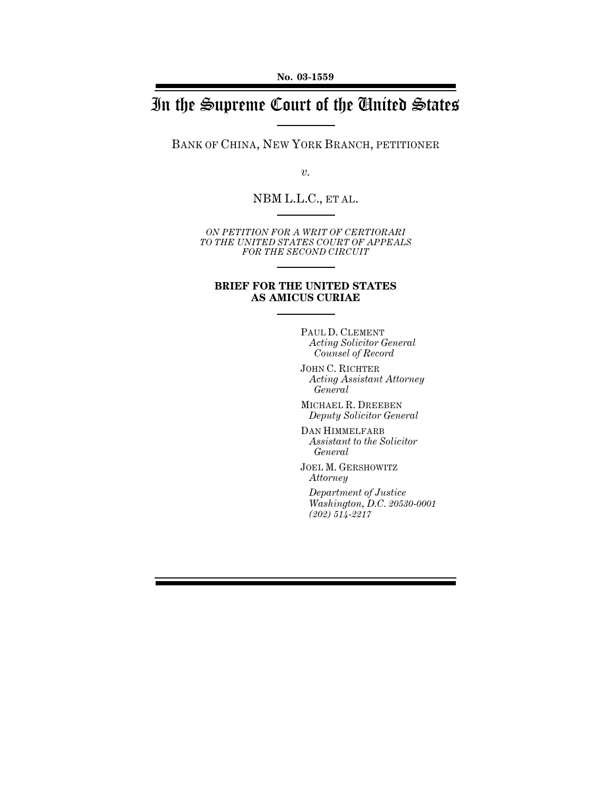# In the Supreme Court of the United States

BANK OF CHINA, NEW YORK BRANCH, PETITIONER

*v.*

#### NBM L.L.C., ET AL.

*ON PETITION FOR A WRIT OF CERTIORARI TO THE UNITED STATES COURT OF APPEALS FOR THE SECOND CIRCUIT*

#### **BRIEF FOR THE UNITED STATES AS AMICUS CURIAE**

PAUL D. CLEMENT *Acting Solicitor General Counsel of Record*

JOHN C. RICHTER *Acting Assistant Attorney General*

MICHAEL R. DREEBEN *Deputy Solicitor General*

DAN HIMMELFARB *Assistant to the Solicitor General*

JOEL M. GERSHOWITZ *Attorney*

*Department of Justice Washington, D.C. 20530-0001 (202) 514-2217*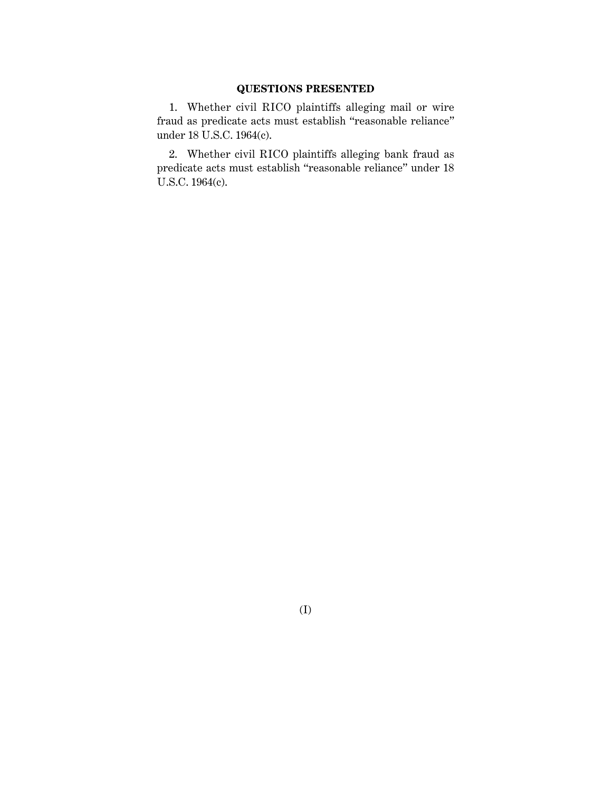#### **QUESTIONS PRESENTED**

1. Whether civil RICO plaintiffs alleging mail or wire fraud as predicate acts must establish "reasonable reliance" under 18 U.S.C. 1964(c).

2. Whether civil RICO plaintiffs alleging bank fraud as predicate acts must establish "reasonable reliance" under 18 U.S.C. 1964(c).

(I)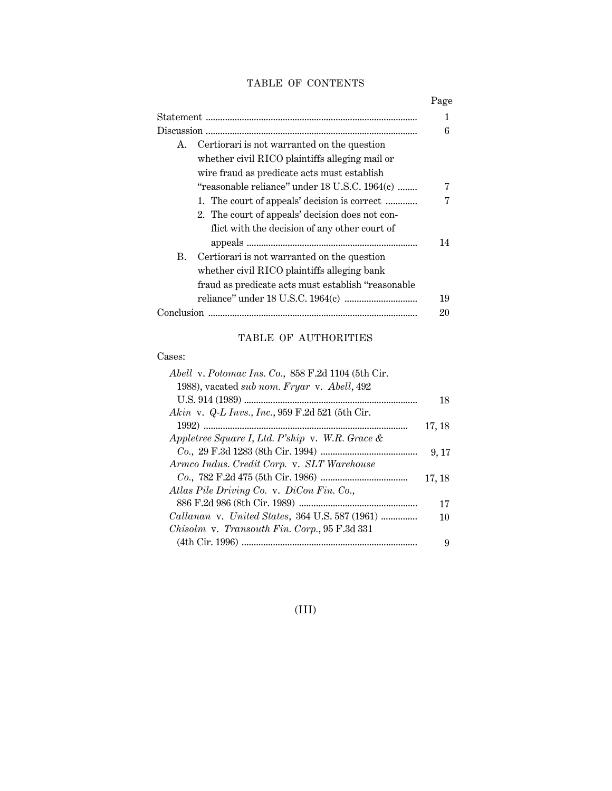### TABLE OF CONTENTS

|                                                     | Page |
|-----------------------------------------------------|------|
|                                                     | 1    |
|                                                     | 6    |
| Certiorari is not warranted on the question<br>A.   |      |
| whether civil RICO plaintiffs alleging mail or      |      |
| wire fraud as predicate acts must establish         |      |
| "reasonable reliance" under 18 U.S.C. 1964(c)       | 7    |
| 1. The court of appeals' decision is correct        | 7    |
| 2. The court of appeals' decision does not con-     |      |
| flict with the decision of any other court of       |      |
|                                                     | 14   |
| Certiorari is not warranted on the question<br>В.   |      |
| whether civil RICO plaintiffs alleging bank         |      |
| fraud as predicate acts must establish "reasonable" |      |
|                                                     | 19   |
| Conclusion                                          | 20   |

## TABLE OF AUTHORITIES

#### Cases:

| Abell v. Potomac Ins. Co., 858 F.2d 1104 (5th Cir. |        |
|----------------------------------------------------|--------|
| 1988), vacated sub nom. Fryar v. Abell, 492        |        |
|                                                    | 18     |
| Akin v. Q-L Invs., Inc., 959 F.2d 521 (5th Cir.    |        |
|                                                    | 17, 18 |
| Appletree Square I, Ltd. P'ship v. W.R. Grace &    |        |
|                                                    | 9, 17  |
| Armco Indus. Credit Corp. v. SLT Warehouse         |        |
|                                                    | 17, 18 |
| Atlas Pile Driving Co. v. DiCon Fin. Co.,          |        |
|                                                    | 17     |
| Callanan v. United States, 364 U.S. 587 (1961)     | 10     |
| Chisolm v. Transouth Fin. Corp., 95 F.3d 331       |        |
|                                                    | 9      |

(III)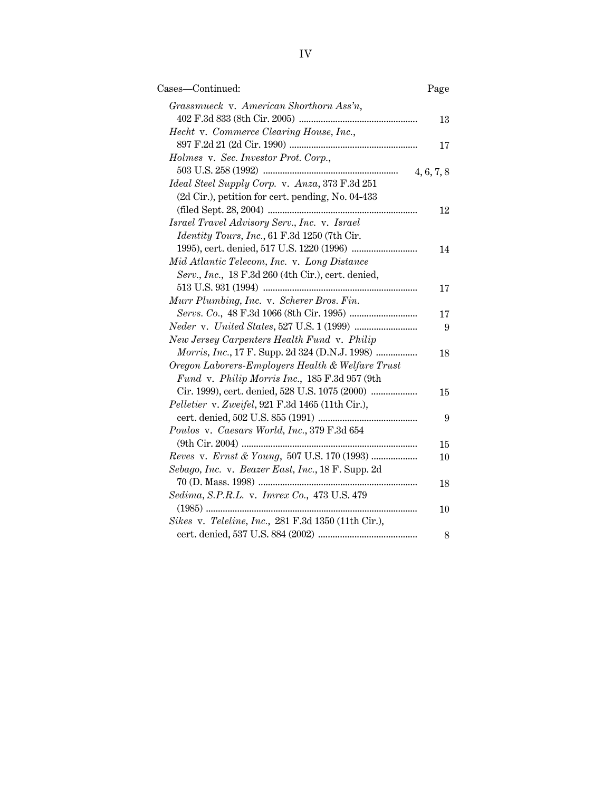| Cases-Continued:                                    | Page       |
|-----------------------------------------------------|------------|
| Grassmueck v. American Shorthorn Ass'n,             |            |
|                                                     | 13         |
| Hecht v. Commerce Clearing House, Inc.,             |            |
|                                                     | 17         |
| Holmes v. Sec. Investor Prot. Corp.,                |            |
|                                                     | 4, 6, 7, 8 |
| Ideal Steel Supply Corp. v. Anza, 373 F.3d 251      |            |
| (2d Cir.), petition for cert. pending, No. 04-433   |            |
|                                                     | 12         |
| Israel Travel Advisory Serv., Inc. v. Israel        |            |
| Identity Tours, Inc., 61 F.3d 1250 (7th Cir.        |            |
|                                                     | 14         |
| Mid Atlantic Telecom, Inc. v. Long Distance         |            |
| Serv., Inc., 18 F.3d 260 (4th Cir.), cert. denied,  |            |
|                                                     | 17         |
| Murr Plumbing, Inc. v. Scherer Bros. Fin.           |            |
|                                                     | 17         |
|                                                     | 9          |
| New Jersey Carpenters Health Fund v. Philip         |            |
| Morris, Inc., 17 F. Supp. 2d 324 (D.N.J. 1998)      | 18         |
| Oregon Laborers-Employers Health & Welfare Trust    |            |
| Fund v. Philip Morris Inc., 185 F.3d 957 (9th       |            |
| Cir. 1999), cert. denied, 528 U.S. 1075 (2000)      | 15         |
| Pelletier v. Zweifel, 921 F.3d 1465 (11th Cir.),    |            |
|                                                     | 9          |
| Poulos v. Caesars World, Inc., 379 F.3d 654         |            |
| $(9th Cir. 2004)$                                   | 15         |
|                                                     | 10         |
| Sebago, Inc. v. Beazer East, Inc., 18 F. Supp. 2d   |            |
|                                                     | 18         |
| Sedima, S.P.R.L. v. Imrex Co., 473 U.S. 479         |            |
|                                                     | 10         |
| Sikes v. Teleline, Inc., 281 F.3d 1350 (11th Cir.), |            |
|                                                     | 8          |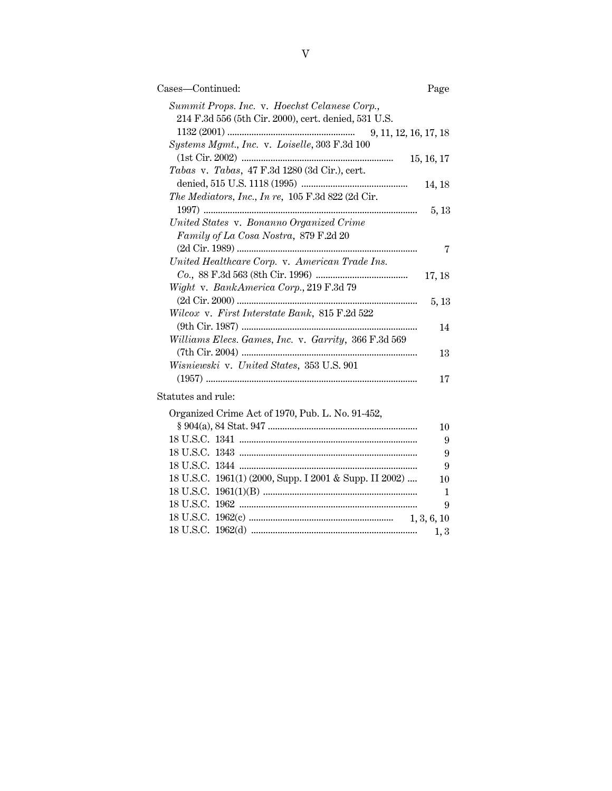| Cases—Continued:                                                                                      | Page       |
|-------------------------------------------------------------------------------------------------------|------------|
| Summit Props. Inc. v. Hoechst Celanese Corp.,<br>214 F.3d 556 (5th Cir. 2000), cert. denied, 531 U.S. |            |
| 9, 11, 12, 16, 17, 18                                                                                 |            |
| Systems Mgmt., Inc. v. Loiselle, 303 F.3d 100                                                         |            |
|                                                                                                       | 15, 16, 17 |
| Tabas v. Tabas, $47$ F.3d $1280$ (3d Cir.), cert.                                                     |            |
|                                                                                                       | 14, 18     |
| The Mediators, Inc., In re, 105 F.3d 822 (2d Cir.                                                     |            |
|                                                                                                       | 5, 13      |
| United States v. Bonanno Organized Crime                                                              |            |
| Family of La Cosa Nostra, 879 F.2d 20                                                                 |            |
|                                                                                                       | 7          |
| United Healthcare Corp. v. American Trade Ins.                                                        |            |
|                                                                                                       | 17, 18     |
| Wight v. BankAmerica Corp., 219 F.3d 79                                                               |            |
| Wilcox v. First Interstate Bank, 815 F.2d 522                                                         | 5, 13      |
|                                                                                                       | 14         |
| Williams Elecs. Games, Inc. v. Garrity, 366 F.3d 569                                                  |            |
|                                                                                                       | 13         |
| Wisniewski v. United States, 353 U.S. 901                                                             |            |
|                                                                                                       | 17         |
| Statutes and rule:                                                                                    |            |
| Organized Crime Act of 1970, Pub. L. No. 91-452,                                                      |            |
|                                                                                                       | 10         |

|    | Organized Crime Act of 1970, Pub. L. No. 91-452,       |  |
|----|--------------------------------------------------------|--|
| 10 |                                                        |  |
| 9  |                                                        |  |
| 9  |                                                        |  |
| 9  |                                                        |  |
| 10 | 18 U.S.C. 1961(1) (2000, Supp. I 2001 & Supp. II 2002) |  |
|    |                                                        |  |
| -9 |                                                        |  |
|    |                                                        |  |
|    |                                                        |  |
|    |                                                        |  |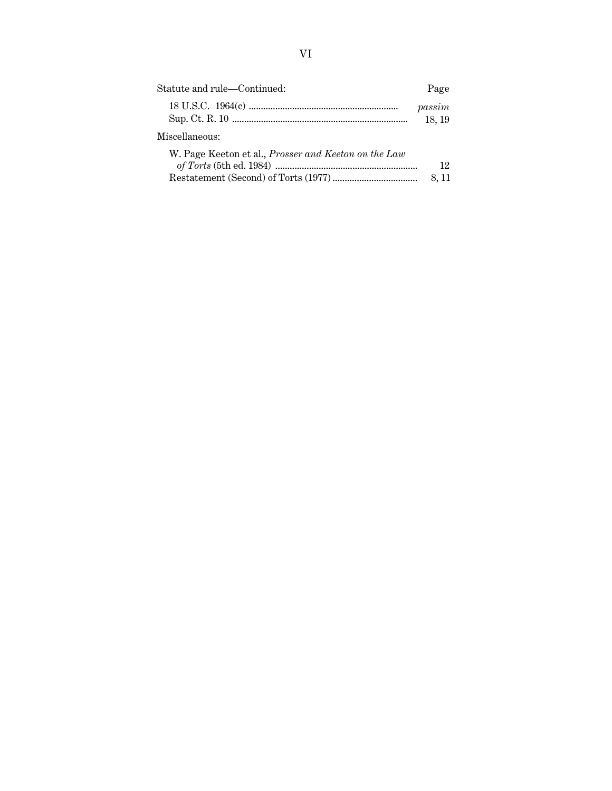| Statute and rule—Continued:                                 | Page            |
|-------------------------------------------------------------|-----------------|
|                                                             | passim<br>18.19 |
| Miscellaneous:                                              |                 |
| W. Page Keeton et al., <i>Prosser and Keeton on the Law</i> | 12              |
|                                                             | 8. 11           |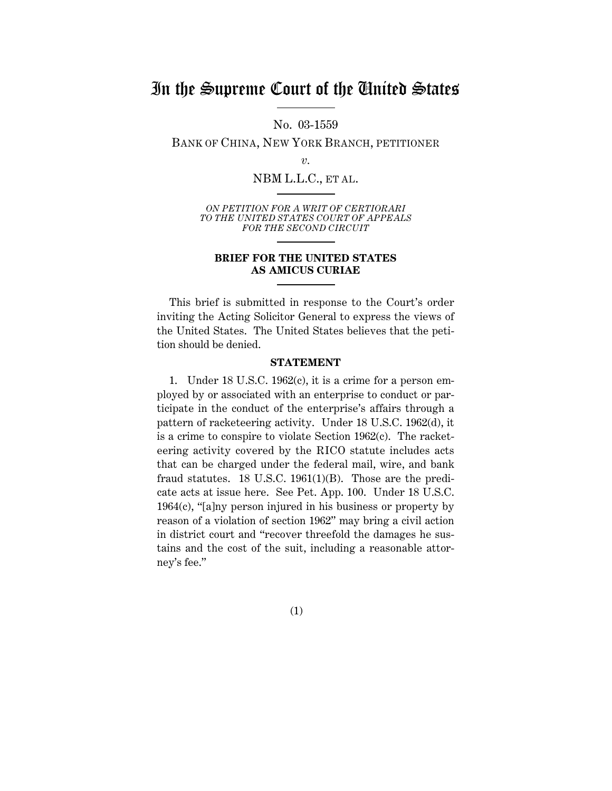## In the Supreme Court of the United States

No. 03-1559

BANK OF CHINA, NEW YORK BRANCH, PETITIONER

NBM L.L.C., ET AL.

*ON PETITION FOR A WRIT OF CERTIORARI TO THE UNITED STATES COURT OF APPEALS FOR THE SECOND CIRCUIT*

#### **BRIEF FOR THE UNITED STATES AS AMICUS CURIAE**

This brief is submitted in response to the Court's order inviting the Acting Solicitor General to express the views of the United States. The United States believes that the petition should be denied.

#### **STATEMENT**

1. Under 18 U.S.C. 1962(c), it is a crime for a person employed by or associated with an enterprise to conduct or participate in the conduct of the enterprise's affairs through a pattern of racketeering activity. Under 18 U.S.C. 1962(d), it is a crime to conspire to violate Section 1962(c). The racketeering activity covered by the RICO statute includes acts that can be charged under the federal mail, wire, and bank fraud statutes. 18 U.S.C. 1961(1)(B). Those are the predicate acts at issue here. See Pet. App. 100. Under 18 U.S.C. 1964(c), "[a]ny person injured in his business or property by reason of a violation of section 1962" may bring a civil action in district court and "recover threefold the damages he sustains and the cost of the suit, including a reasonable attorney's fee."

(1)

*v.*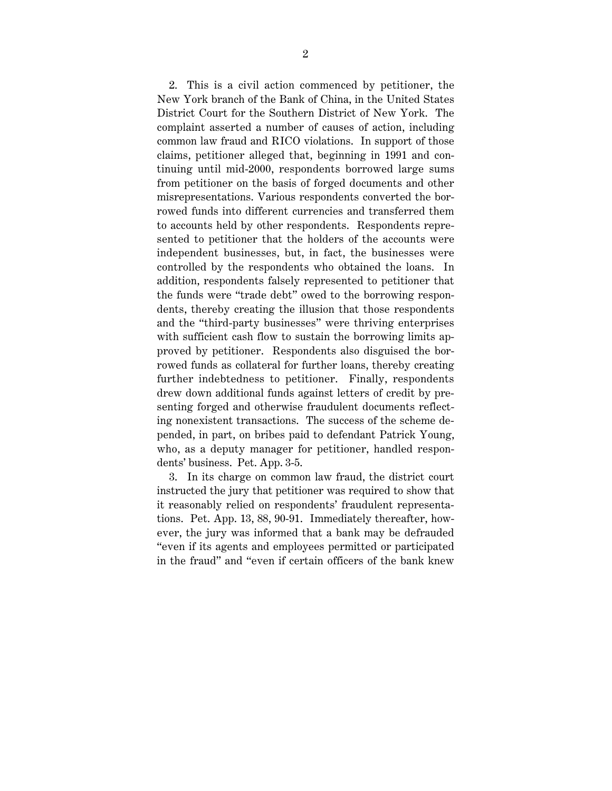2. This is a civil action commenced by petitioner, the New York branch of the Bank of China, in the United States District Court for the Southern District of New York. The complaint asserted a number of causes of action, including common law fraud and RICO violations. In support of those claims, petitioner alleged that, beginning in 1991 and continuing until mid-2000, respondents borrowed large sums from petitioner on the basis of forged documents and other misrepresentations. Various respondents converted the borrowed funds into different currencies and transferred them to accounts held by other respondents. Respondents represented to petitioner that the holders of the accounts were independent businesses, but, in fact, the businesses were controlled by the respondents who obtained the loans. In addition, respondents falsely represented to petitioner that the funds were "trade debt" owed to the borrowing respondents, thereby creating the illusion that those respondents and the "third-party businesses" were thriving enterprises with sufficient cash flow to sustain the borrowing limits approved by petitioner. Respondents also disguised the borrowed funds as collateral for further loans, thereby creating further indebtedness to petitioner. Finally, respondents drew down additional funds against letters of credit by presenting forged and otherwise fraudulent documents reflecting nonexistent transactions. The success of the scheme depended, in part, on bribes paid to defendant Patrick Young, who, as a deputy manager for petitioner, handled respondents' business. Pet. App. 3-5.

3. In its charge on common law fraud, the district court instructed the jury that petitioner was required to show that it reasonably relied on respondents' fraudulent representations. Pet. App. 13, 88, 90-91. Immediately thereafter, however, the jury was informed that a bank may be defrauded "even if its agents and employees permitted or participated in the fraud" and "even if certain officers of the bank knew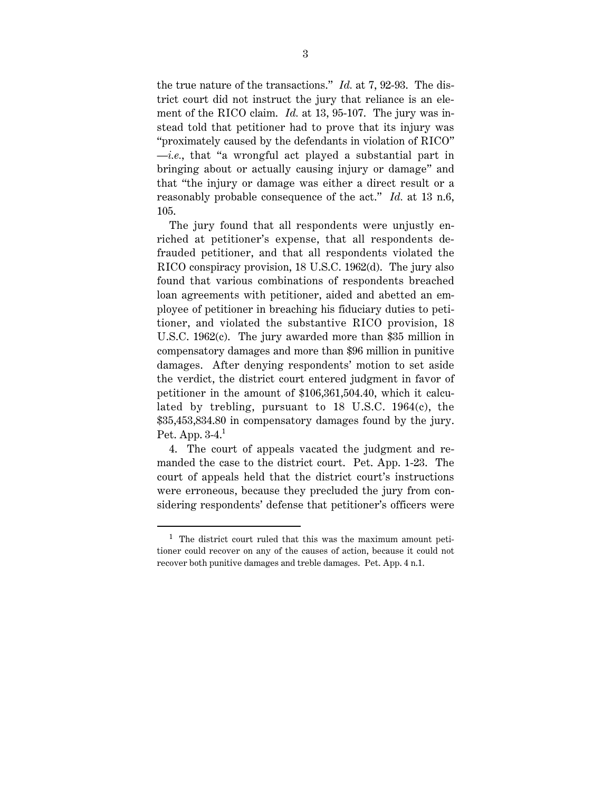the true nature of the transactions." *Id.* at 7, 92-93. The district court did not instruct the jury that reliance is an element of the RICO claim. *Id.* at 13, 95-107. The jury was instead told that petitioner had to prove that its injury was "proximately caused by the defendants in violation of RICO" —*i.e.*, that "a wrongful act played a substantial part in bringing about or actually causing injury or damage" and that "the injury or damage was either a direct result or a reasonably probable consequence of the act." *Id.* at 13 n.6, 105.

The jury found that all respondents were unjustly enriched at petitioner's expense, that all respondents defrauded petitioner, and that all respondents violated the RICO conspiracy provision, 18 U.S.C. 1962(d). The jury also found that various combinations of respondents breached loan agreements with petitioner, aided and abetted an employee of petitioner in breaching his fiduciary duties to petitioner, and violated the substantive RICO provision, 18 U.S.C. 1962(c). The jury awarded more than \$35 million in compensatory damages and more than \$96 million in punitive damages. After denying respondents' motion to set aside the verdict, the district court entered judgment in favor of petitioner in the amount of \$106,361,504.40, which it calculated by trebling, pursuant to 18 U.S.C. 1964(c), the \$35,453,834.80 in compensatory damages found by the jury. Pet. App.  $3-4<sup>1</sup>$ 

4. The court of appeals vacated the judgment and remanded the case to the district court. Pet. App. 1-23. The court of appeals held that the district court's instructions were erroneous, because they precluded the jury from considering respondents' defense that petitioner's officers were

 <sup>1</sup> The district court ruled that this was the maximum amount petitioner could recover on any of the causes of action, because it could not recover both punitive damages and treble damages. Pet. App. 4 n.1.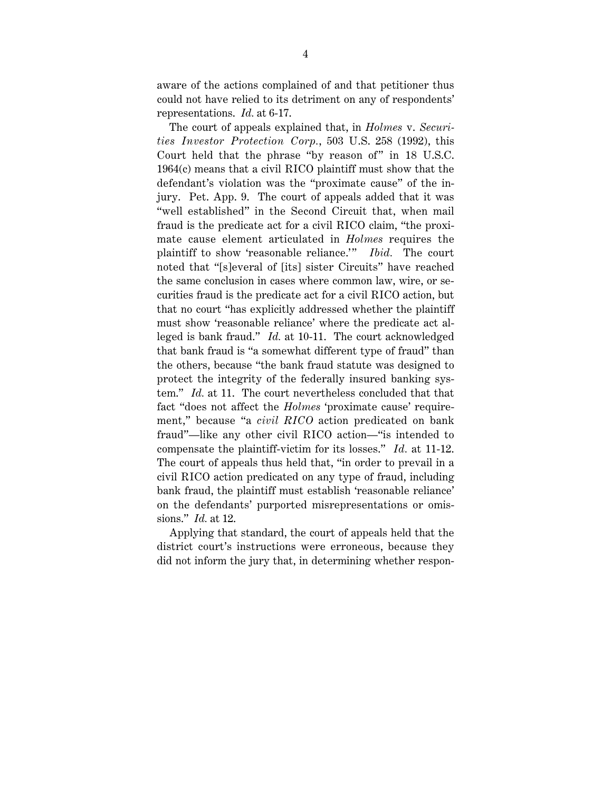aware of the actions complained of and that petitioner thus could not have relied to its detriment on any of respondents' representations. *Id.* at 6-17.

The court of appeals explained that, in *Holmes* v. *Securities Investor Protection Corp.*, 503 U.S. 258 (1992), this Court held that the phrase "by reason of" in 18 U.S.C. 1964(c) means that a civil RICO plaintiff must show that the defendant's violation was the "proximate cause" of the injury. Pet. App. 9. The court of appeals added that it was "well established" in the Second Circuit that, when mail fraud is the predicate act for a civil RICO claim, "the proximate cause element articulated in *Holmes* requires the plaintiff to show 'reasonable reliance.'" *Ibid*. The court noted that "[s]everal of [its] sister Circuits" have reached the same conclusion in cases where common law, wire, or securities fraud is the predicate act for a civil RICO action, but that no court "has explicitly addressed whether the plaintiff must show 'reasonable reliance' where the predicate act alleged is bank fraud." *Id.* at 10-11. The court acknowledged that bank fraud is "a somewhat different type of fraud" than the others, because "the bank fraud statute was designed to protect the integrity of the federally insured banking system." *Id.* at 11. The court nevertheless concluded that that fact "does not affect the *Holmes* 'proximate cause' requirement," because "a *civil RICO* action predicated on bank fraud"—like any other civil RICO action—"is intended to compensate the plaintiff-victim for its losses." *Id.* at 11-12. The court of appeals thus held that, "in order to prevail in a civil RICO action predicated on any type of fraud, including bank fraud, the plaintiff must establish 'reasonable reliance' on the defendants' purported misrepresentations or omissions." *Id.* at 12.

Applying that standard, the court of appeals held that the district court's instructions were erroneous, because they did not inform the jury that, in determining whether respon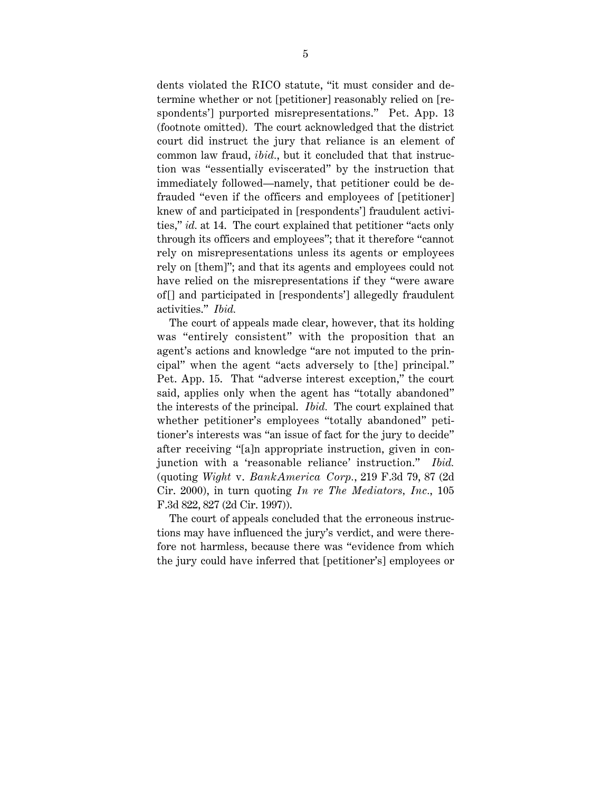dents violated the RICO statute, "it must consider and determine whether or not [petitioner] reasonably relied on [respondents'] purported misrepresentations." Pet. App. 13 (footnote omitted). The court acknowledged that the district court did instruct the jury that reliance is an element of common law fraud, *ibid.*, but it concluded that that instruction was "essentially eviscerated" by the instruction that immediately followed—namely, that petitioner could be defrauded "even if the officers and employees of [petitioner] knew of and participated in [respondents'] fraudulent activities," *id.* at 14. The court explained that petitioner "acts only through its officers and employees"; that it therefore "cannot rely on misrepresentations unless its agents or employees rely on [them]"; and that its agents and employees could not have relied on the misrepresentations if they "were aware of [] and participated in [respondents'] allegedly fraudulent activities." *Ibid.*

The court of appeals made clear, however, that its holding was "entirely consistent" with the proposition that an agent's actions and knowledge "are not imputed to the principal" when the agent "acts adversely to [the] principal." Pet. App. 15. That "adverse interest exception," the court said, applies only when the agent has "totally abandoned" the interests of the principal. *Ibid.* The court explained that whether petitioner's employees "totally abandoned" petitioner's interests was "an issue of fact for the jury to decide" after receiving "[a]n appropriate instruction, given in conjunction with a 'reasonable reliance' instruction." *Ibid.* (quoting *Wight* v. *BankAmerica Corp.*, 219 F.3d 79, 87 (2d Cir. 2000), in turn quoting *In re The Mediators, Inc.*, 105 F.3d 822, 827 (2d Cir. 1997)).

The court of appeals concluded that the erroneous instructions may have influenced the jury's verdict, and were therefore not harmless, because there was "evidence from which the jury could have inferred that [petitioner's] employees or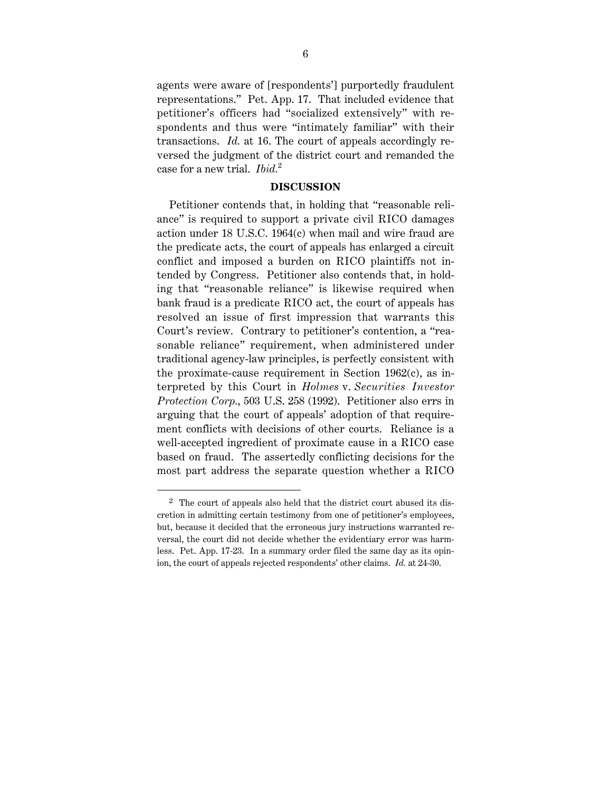agents were aware of [respondents'] purportedly fraudulent representations." Pet. App. 17. That included evidence that petitioner's officers had "socialized extensively" with respondents and thus were "intimately familiar" with their transactions. *Id.* at 16. The court of appeals accordingly reversed the judgment of the district court and remanded the case for a new trial. *Ibid.*<sup>2</sup>

#### **DISCUSSION**

Petitioner contends that, in holding that "reasonable reliance" is required to support a private civil RICO damages action under 18 U.S.C. 1964(c) when mail and wire fraud are the predicate acts, the court of appeals has enlarged a circuit conflict and imposed a burden on RICO plaintiffs not intended by Congress. Petitioner also contends that, in holding that "reasonable reliance" is likewise required when bank fraud is a predicate RICO act, the court of appeals has resolved an issue of first impression that warrants this Court's review. Contrary to petitioner's contention, a "reasonable reliance" requirement, when administered under traditional agency-law principles, is perfectly consistent with the proximate-cause requirement in Section 1962(c), as interpreted by this Court in *Holmes* v. *Securities Investor Protection Corp.*, 503 U.S. 258 (1992). Petitioner also errs in arguing that the court of appeals' adoption of that requirement conflicts with decisions of other courts. Reliance is a well-accepted ingredient of proximate cause in a RICO case based on fraud. The assertedly conflicting decisions for the most part address the separate question whether a RICO

 <sup>2</sup> The court of appeals also held that the district court abused its discretion in admitting certain testimony from one of petitioner's employees, but, because it decided that the erroneous jury instructions warranted reversal, the court did not decide whether the evidentiary error was harmless. Pet. App. 17-23. In a summary order filed the same day as its opinion, the court of appeals rejected respondents' other claims. *Id.* at 24-30.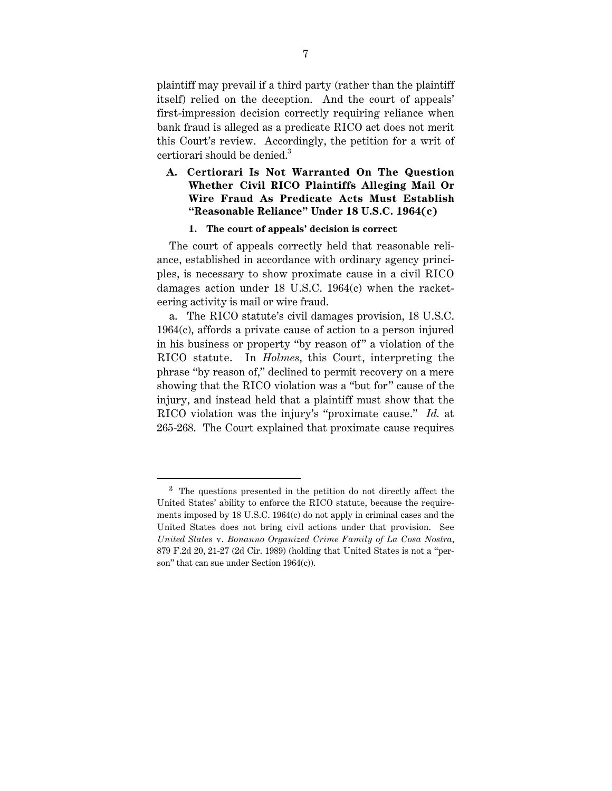plaintiff may prevail if a third party (rather than the plaintiff itself) relied on the deception. And the court of appeals' first-impression decision correctly requiring reliance when bank fraud is alleged as a predicate RICO act does not merit this Court's review. Accordingly, the petition for a writ of certiorari should be denied.<sup>3</sup>

#### **A. Certiorari Is Not Warranted On The Question Whether Civil RICO Plaintiffs Alleging Mail Or Wire Fraud As Predicate Acts Must Establish "Reasonable Reliance" Under 18 U.S.C. 1964(c)**

#### **1. The court of appeals' decision is correct**

The court of appeals correctly held that reasonable reliance, established in accordance with ordinary agency principles, is necessary to show proximate cause in a civil RICO damages action under 18 U.S.C. 1964(c) when the racketeering activity is mail or wire fraud.

a. The RICO statute's civil damages provision, 18 U.S.C. 1964(c), affords a private cause of action to a person injured in his business or property "by reason of" a violation of the RICO statute. In *Holmes*, this Court, interpreting the phrase "by reason of," declined to permit recovery on a mere showing that the RICO violation was a "but for" cause of the injury, and instead held that a plaintiff must show that the RICO violation was the injury's "proximate cause." *Id.* at 265-268. The Court explained that proximate cause requires

<sup>&</sup>lt;sup>3</sup> The questions presented in the petition do not directly affect the United States' ability to enforce the RICO statute, because the requirements imposed by 18 U.S.C. 1964(c) do not apply in criminal cases and the United States does not bring civil actions under that provision. See *United States* v. *Bonanno Organized Crime Family of La Cosa Nostra*, 879 F.2d 20, 21-27 (2d Cir. 1989) (holding that United States is not a "person" that can sue under Section 1964(c)).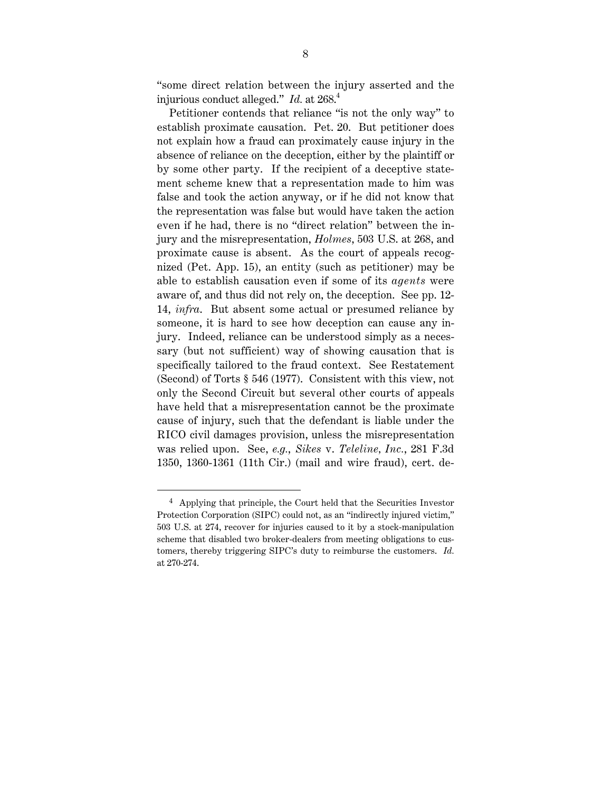"some direct relation between the injury asserted and the injurious conduct alleged." *Id.* at 268.4

Petitioner contends that reliance "is not the only way" to establish proximate causation. Pet. 20. But petitioner does not explain how a fraud can proximately cause injury in the absence of reliance on the deception, either by the plaintiff or by some other party. If the recipient of a deceptive statement scheme knew that a representation made to him was false and took the action anyway, or if he did not know that the representation was false but would have taken the action even if he had, there is no "direct relation" between the injury and the misrepresentation, *Holmes*, 503 U.S. at 268, and proximate cause is absent. As the court of appeals recognized (Pet. App. 15), an entity (such as petitioner) may be able to establish causation even if some of its *agents* were aware of, and thus did not rely on, the deception. See pp. 12- 14, *infra*. But absent some actual or presumed reliance by someone, it is hard to see how deception can cause any injury. Indeed, reliance can be understood simply as a necessary (but not sufficient) way of showing causation that is specifically tailored to the fraud context. See Restatement (Second) of Torts § 546 (1977). Consistent with this view, not only the Second Circuit but several other courts of appeals have held that a misrepresentation cannot be the proximate cause of injury, such that the defendant is liable under the RICO civil damages provision, unless the misrepresentation was relied upon. See, *e.g.*, *Sikes* v. *Teleline, Inc.*, 281 F.3d 1350, 1360-1361 (11th Cir.) (mail and wire fraud), cert. de-

 $4$  Applying that principle, the Court held that the Securities Investor Protection Corporation (SIPC) could not, as an "indirectly injured victim," 503 U.S. at 274, recover for injuries caused to it by a stock-manipulation scheme that disabled two broker-dealers from meeting obligations to customers, thereby triggering SIPC's duty to reimburse the customers. *Id.* at 270-274.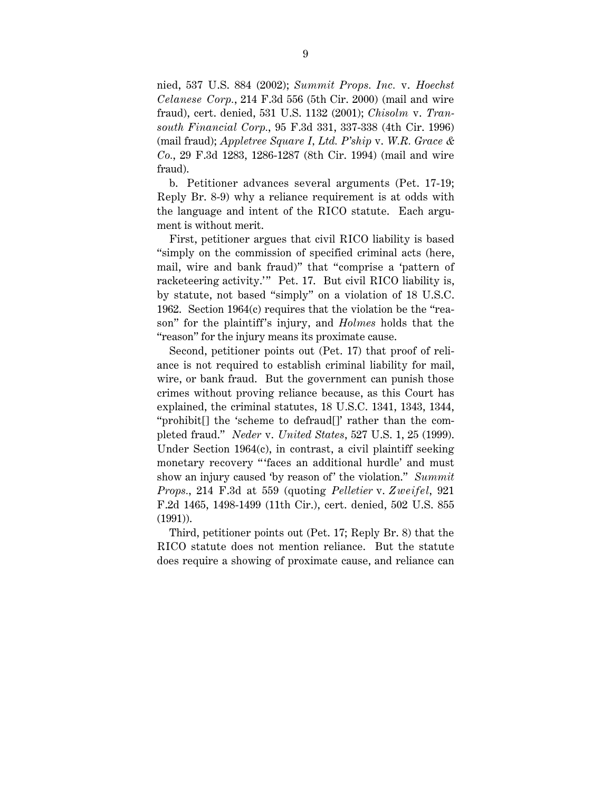nied, 537 U.S. 884 (2002); *Summit Props. Inc.* v. *Hoechst Celanese Corp.*, 214 F.3d 556 (5th Cir. 2000) (mail and wire fraud), cert. denied, 531 U.S. 1132 (2001); *Chisolm* v. *Transouth Financial Corp.*, 95 F.3d 331, 337-338 (4th Cir. 1996) (mail fraud); *Appletree Square I, Ltd. P'ship* v. *W.R. Grace & Co.*, 29 F.3d 1283, 1286-1287 (8th Cir. 1994) (mail and wire fraud).

b. Petitioner advances several arguments (Pet. 17-19; Reply Br. 8-9) why a reliance requirement is at odds with the language and intent of the RICO statute. Each argument is without merit.

First, petitioner argues that civil RICO liability is based "simply on the commission of specified criminal acts (here, mail, wire and bank fraud)" that "comprise a 'pattern of racketeering activity.'" Pet. 17. But civil RICO liability is, by statute, not based "simply" on a violation of 18 U.S.C. 1962. Section 1964(c) requires that the violation be the "reason" for the plaintiff 's injury, and *Holmes* holds that the "reason" for the injury means its proximate cause.

Second, petitioner points out (Pet. 17) that proof of reliance is not required to establish criminal liability for mail, wire, or bank fraud. But the government can punish those crimes without proving reliance because, as this Court has explained, the criminal statutes, 18 U.S.C. 1341, 1343, 1344, "prohibit[] the 'scheme to defraud[]' rather than the completed fraud." *Neder* v. *United States*, 527 U.S. 1, 25 (1999). Under Section 1964(c), in contrast, a civil plaintiff seeking monetary recovery "'faces an additional hurdle' and must show an injury caused 'by reason of' the violation." *Summit Props.*, 214 F.3d at 559 (quoting *Pelletier* v. *Zweifel*, 921 F.2d 1465, 1498-1499 (11th Cir.), cert. denied, 502 U.S. 855 (1991)).

Third, petitioner points out (Pet. 17; Reply Br. 8) that the RICO statute does not mention reliance. But the statute does require a showing of proximate cause, and reliance can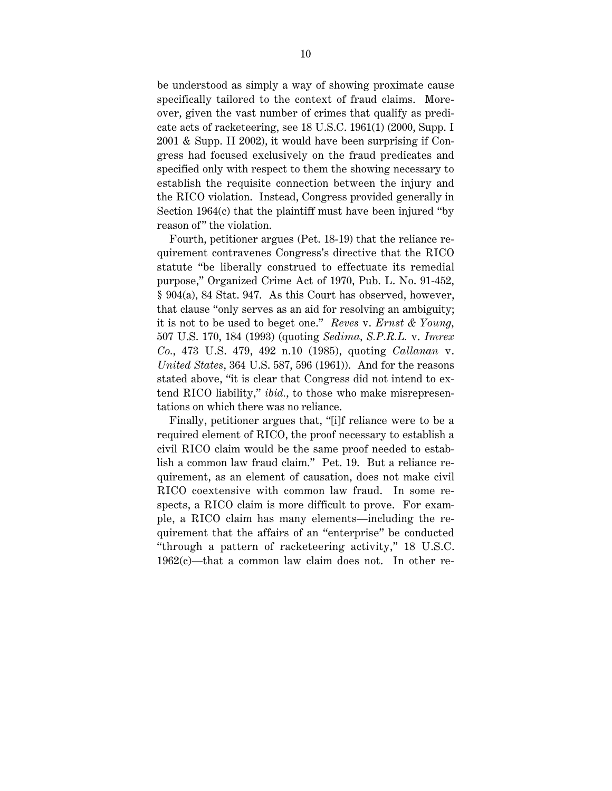be understood as simply a way of showing proximate cause specifically tailored to the context of fraud claims. Moreover, given the vast number of crimes that qualify as predicate acts of racketeering, see 18 U.S.C. 1961(1) (2000, Supp. I 2001 & Supp. II 2002), it would have been surprising if Congress had focused exclusively on the fraud predicates and specified only with respect to them the showing necessary to establish the requisite connection between the injury and the RICO violation. Instead, Congress provided generally in Section 1964(c) that the plaintiff must have been injured "by reason of" the violation.

Fourth, petitioner argues (Pet. 18-19) that the reliance requirement contravenes Congress's directive that the RICO statute "be liberally construed to effectuate its remedial purpose," Organized Crime Act of 1970, Pub. L. No. 91-452, § 904(a), 84 Stat. 947. As this Court has observed, however, that clause "only serves as an aid for resolving an ambiguity; it is not to be used to beget one." *Reves* v. *Ernst & Young*, 507 U.S. 170, 184 (1993) (quoting *Sedima, S.P.R.L.* v. *Imrex Co.*, 473 U.S. 479, 492 n.10 (1985), quoting *Callanan* v. *United States*, 364 U.S. 587, 596 (1961)). And for the reasons stated above, "it is clear that Congress did not intend to extend RICO liability," *ibid.*, to those who make misrepresentations on which there was no reliance.

Finally, petitioner argues that, "[i]f reliance were to be a required element of RICO, the proof necessary to establish a civil RICO claim would be the same proof needed to establish a common law fraud claim." Pet. 19. But a reliance requirement, as an element of causation, does not make civil RICO coextensive with common law fraud. In some respects, a RICO claim is more difficult to prove. For example, a RICO claim has many elements—including the requirement that the affairs of an "enterprise" be conducted "through a pattern of racketeering activity," 18 U.S.C. 1962(c)—that a common law claim does not. In other re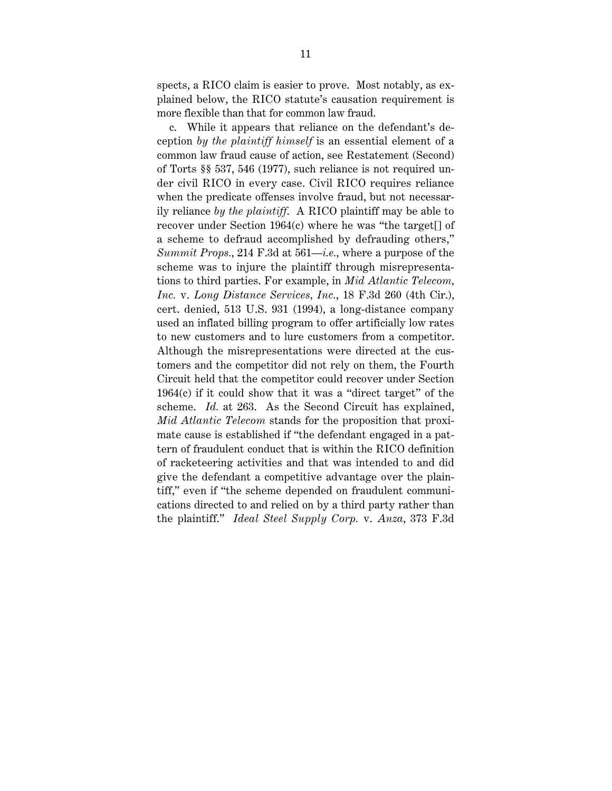spects, a RICO claim is easier to prove. Most notably, as explained below, the RICO statute's causation requirement is more flexible than that for common law fraud.

c. While it appears that reliance on the defendant's deception *by the plaintiff himself* is an essential element of a common law fraud cause of action, see Restatement (Second) of Torts §§ 537, 546 (1977), such reliance is not required under civil RICO in every case. Civil RICO requires reliance when the predicate offenses involve fraud, but not necessarily reliance *by the plaintiff*. A RICO plaintiff may be able to recover under Section 1964(c) where he was "the target[] of a scheme to defraud accomplished by defrauding others," *Summit Props.*, 214 F.3d at 561—*i.e.*, where a purpose of the scheme was to injure the plaintiff through misrepresentations to third parties. For example, in *Mid Atlantic Telecom, Inc.* v. *Long Distance Services, Inc.*, 18 F.3d 260 (4th Cir.), cert. denied, 513 U.S. 931 (1994), a long-distance company used an inflated billing program to offer artificially low rates to new customers and to lure customers from a competitor. Although the misrepresentations were directed at the customers and the competitor did not rely on them, the Fourth Circuit held that the competitor could recover under Section 1964(c) if it could show that it was a "direct target" of the scheme. *Id.* at 263. As the Second Circuit has explained, *Mid Atlantic Telecom* stands for the proposition that proximate cause is established if "the defendant engaged in a pattern of fraudulent conduct that is within the RICO definition of racketeering activities and that was intended to and did give the defendant a competitive advantage over the plaintiff," even if "the scheme depended on fraudulent communications directed to and relied on by a third party rather than the plaintiff." *Ideal Steel Supply Corp.* v. *Anza*, 373 F.3d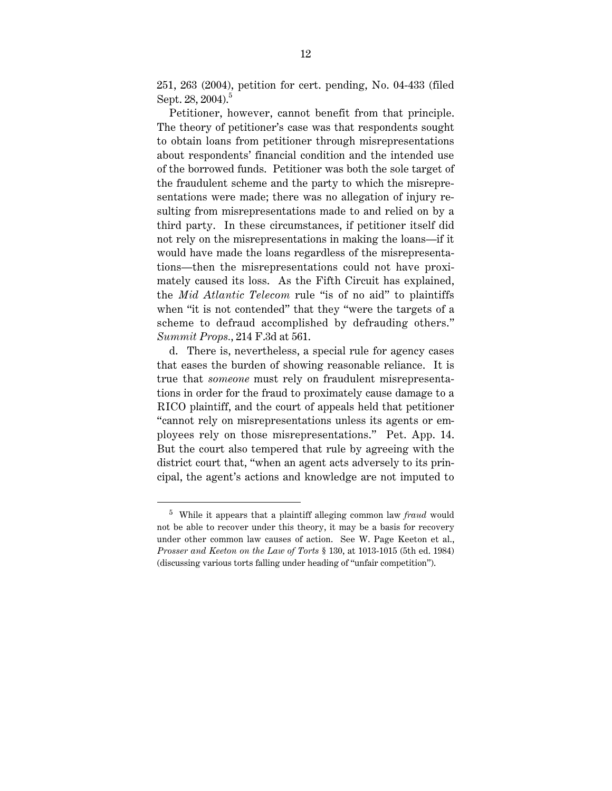251, 263 (2004), petition for cert. pending, No. 04-433 (filed Sept. 28, 2004).<sup>5</sup>

Petitioner, however, cannot benefit from that principle. The theory of petitioner's case was that respondents sought to obtain loans from petitioner through misrepresentations about respondents' financial condition and the intended use of the borrowed funds. Petitioner was both the sole target of the fraudulent scheme and the party to which the misrepresentations were made; there was no allegation of injury resulting from misrepresentations made to and relied on by a third party. In these circumstances, if petitioner itself did not rely on the misrepresentations in making the loans—if it would have made the loans regardless of the misrepresentations—then the misrepresentations could not have proximately caused its loss. As the Fifth Circuit has explained, the *Mid Atlantic Telecom* rule "is of no aid" to plaintiffs when "it is not contended" that they "were the targets of a scheme to defraud accomplished by defrauding others." *Summit Props.*, 214 F.3d at 561.

d. There is, nevertheless, a special rule for agency cases that eases the burden of showing reasonable reliance. It is true that *someone* must rely on fraudulent misrepresentations in order for the fraud to proximately cause damage to a RICO plaintiff, and the court of appeals held that petitioner "cannot rely on misrepresentations unless its agents or employees rely on those misrepresentations." Pet. App. 14. But the court also tempered that rule by agreeing with the district court that, "when an agent acts adversely to its principal, the agent's actions and knowledge are not imputed to

 <sup>5</sup> While it appears that a plaintiff alleging common law *fraud* would not be able to recover under this theory, it may be a basis for recovery under other common law causes of action. See W. Page Keeton et al., *Prosser and Keeton on the Law of Torts* § 130, at 1013-1015 (5th ed. 1984) (discussing various torts falling under heading of "unfair competition").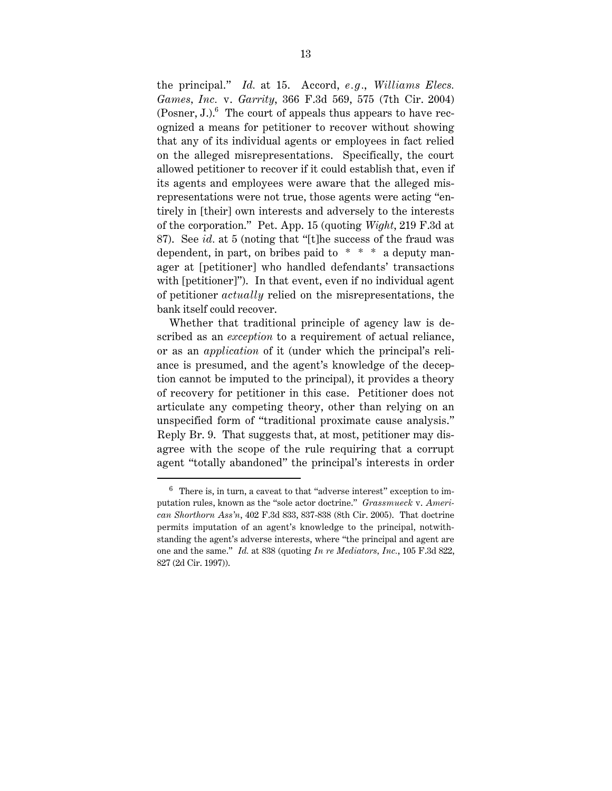the principal." *Id.* at 15. Accord, *e.g.*, *Williams Elecs. Games, Inc.* v. *Garrity*, 366 F.3d 569, 575 (7th Cir. 2004) (Posner, J.). $^6$  The court of appeals thus appears to have recognized a means for petitioner to recover without showing that any of its individual agents or employees in fact relied on the alleged misrepresentations. Specifically, the court allowed petitioner to recover if it could establish that, even if its agents and employees were aware that the alleged misrepresentations were not true, those agents were acting "entirely in [their] own interests and adversely to the interests of the corporation." Pet. App. 15 (quoting *Wight*, 219 F.3d at 87). See *id.* at 5 (noting that "[t]he success of the fraud was dependent, in part, on bribes paid to  $* * * a$  deputy manager at [petitioner] who handled defendants' transactions with [petitioner]"). In that event, even if no individual agent of petitioner *actually* relied on the misrepresentations, the bank itself could recover.

Whether that traditional principle of agency law is described as an *exception* to a requirement of actual reliance, or as an *application* of it (under which the principal's reliance is presumed, and the agent's knowledge of the deception cannot be imputed to the principal), it provides a theory of recovery for petitioner in this case. Petitioner does not articulate any competing theory, other than relying on an unspecified form of "traditional proximate cause analysis." Reply Br. 9. That suggests that, at most, petitioner may disagree with the scope of the rule requiring that a corrupt agent "totally abandoned" the principal's interests in order

 $6$  There is, in turn, a caveat to that "adverse interest" exception to imputation rules, known as the "sole actor doctrine." *Grassmueck* v. *American Shorthorn Ass'n*, 402 F.3d 833, 837-838 (8th Cir. 2005). That doctrine permits imputation of an agent's knowledge to the principal, notwithstanding the agent's adverse interests, where "the principal and agent are one and the same." *Id.* at 838 (quoting *In re Mediators, Inc.*, 105 F.3d 822, 827 (2d Cir. 1997)).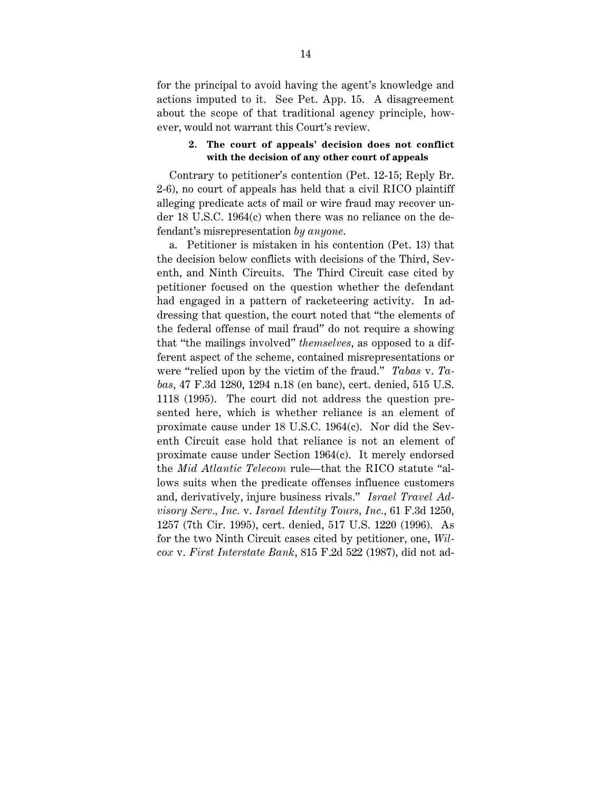for the principal to avoid having the agent's knowledge and actions imputed to it. See Pet. App. 15. A disagreement about the scope of that traditional agency principle, however, would not warrant this Court's review.

#### **2. The court of appeals' decision does not conflict with the decision of any other court of appeals**

Contrary to petitioner's contention (Pet. 12-15; Reply Br. 2-6), no court of appeals has held that a civil RICO plaintiff alleging predicate acts of mail or wire fraud may recover under 18 U.S.C. 1964(c) when there was no reliance on the defendant's misrepresentation *by anyone*.

a. Petitioner is mistaken in his contention (Pet. 13) that the decision below conflicts with decisions of the Third, Seventh, and Ninth Circuits. The Third Circuit case cited by petitioner focused on the question whether the defendant had engaged in a pattern of racketeering activity. In addressing that question, the court noted that "the elements of the federal offense of mail fraud" do not require a showing that "the mailings involved" *themselves*, as opposed to a different aspect of the scheme, contained misrepresentations or were "relied upon by the victim of the fraud." *Tabas* v. *Tabas*, 47 F.3d 1280, 1294 n.18 (en banc), cert. denied, 515 U.S. 1118 (1995). The court did not address the question presented here, which is whether reliance is an element of proximate cause under 18 U.S.C. 1964(c). Nor did the Seventh Circuit case hold that reliance is not an element of proximate cause under Section 1964(c). It merely endorsed the *Mid Atlantic Telecom* rule—that the RICO statute "allows suits when the predicate offenses influence customers and, derivatively, injure business rivals." *Israel Travel Advisory Serv., Inc.* v. *Israel Identity Tours, Inc.*, 61 F.3d 1250, 1257 (7th Cir. 1995), cert. denied, 517 U.S. 1220 (1996). As for the two Ninth Circuit cases cited by petitioner, one, *Wilcox* v. *First Interstate Bank*, 815 F.2d 522 (1987), did not ad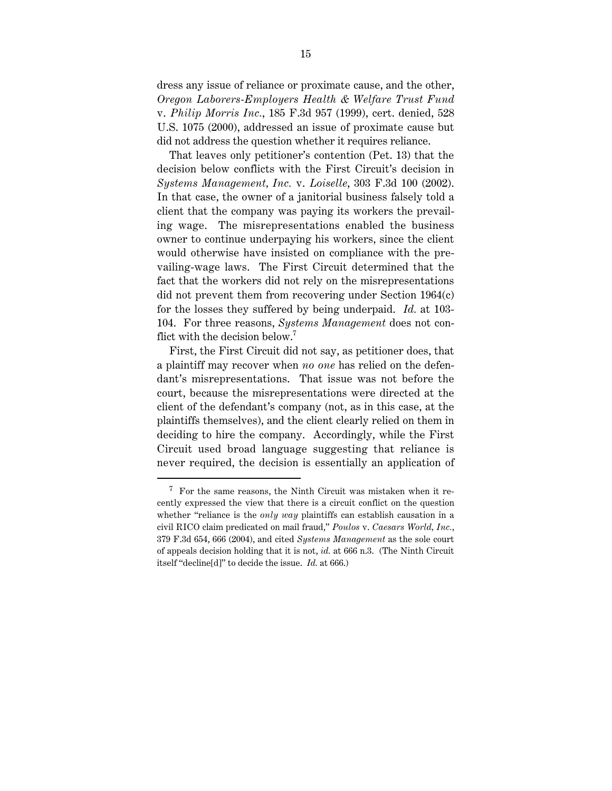dress any issue of reliance or proximate cause, and the other, *Oregon Laborers-Employers Health & Welfare Trust Fund* v. *Philip Morris Inc.*, 185 F.3d 957 (1999), cert. denied, 528 U.S. 1075 (2000), addressed an issue of proximate cause but did not address the question whether it requires reliance.

That leaves only petitioner's contention (Pet. 13) that the decision below conflicts with the First Circuit's decision in *Systems Management, Inc.* v. *Loiselle*, 303 F.3d 100 (2002). In that case, the owner of a janitorial business falsely told a client that the company was paying its workers the prevailing wage. The misrepresentations enabled the business owner to continue underpaying his workers, since the client would otherwise have insisted on compliance with the prevailing-wage laws. The First Circuit determined that the fact that the workers did not rely on the misrepresentations did not prevent them from recovering under Section 1964(c) for the losses they suffered by being underpaid. *Id.* at 103- 104. For three reasons, *Systems Management* does not conflict with the decision below.<sup>7</sup>

First, the First Circuit did not say, as petitioner does, that a plaintiff may recover when *no one* has relied on the defendant's misrepresentations. That issue was not before the court, because the misrepresentations were directed at the client of the defendant's company (not, as in this case, at the plaintiffs themselves), and the client clearly relied on them in deciding to hire the company. Accordingly, while the First Circuit used broad language suggesting that reliance is never required, the decision is essentially an application of

 $7$  For the same reasons, the Ninth Circuit was mistaken when it recently expressed the view that there is a circuit conflict on the question whether "reliance is the *only way* plaintiffs can establish causation in a civil RICO claim predicated on mail fraud," *Poulos* v. *Caesars World, Inc.*, 379 F.3d 654, 666 (2004), and cited *Systems Management* as the sole court of appeals decision holding that it is not, *id.* at 666 n.3. (The Ninth Circuit itself "decline[d]" to decide the issue. *Id.* at 666.)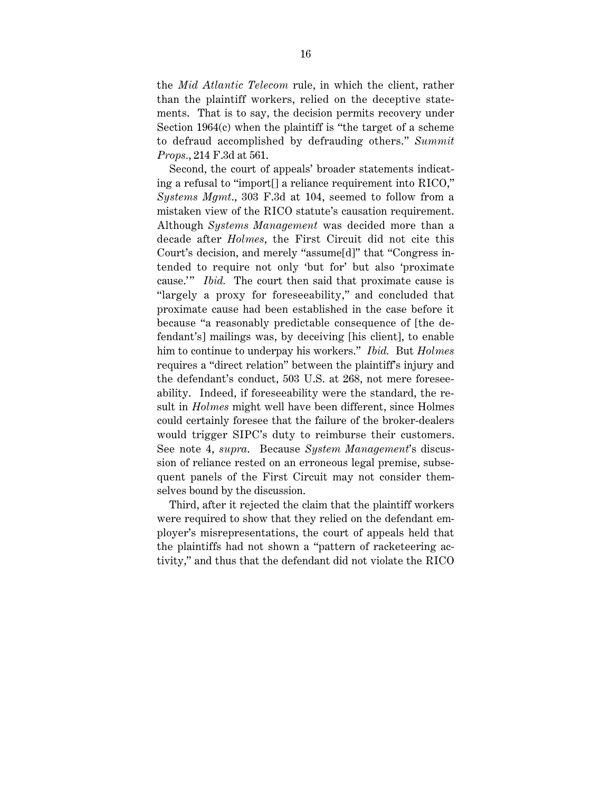the *Mid Atlantic Telecom* rule, in which the client, rather than the plaintiff workers, relied on the deceptive statements. That is to say, the decision permits recovery under Section 1964(c) when the plaintiff is "the target of a scheme to defraud accomplished by defrauding others." *Summit Props.*, 214 F.3d at 561.

Second, the court of appeals' broader statements indicating a refusal to "import[] a reliance requirement into RICO," *Systems Mgmt*., 303 F.3d at 104, seemed to follow from a mistaken view of the RICO statute's causation requirement. Although *Systems Management* was decided more than a decade after *Holmes*, the First Circuit did not cite this Court's decision, and merely "assume[d]" that "Congress intended to require not only 'but for' but also 'proximate cause.'" *Ibid.* The court then said that proximate cause is "largely a proxy for foreseeability," and concluded that proximate cause had been established in the case before it because "a reasonably predictable consequence of [the defendant's] mailings was, by deceiving [his client], to enable him to continue to underpay his workers." *Ibid.* But *Holmes* requires a "direct relation" between the plaintiff's injury and the defendant's conduct, 503 U.S. at 268, not mere foreseeability. Indeed, if foreseeability were the standard, the result in *Holmes* might well have been different, since Holmes could certainly foresee that the failure of the broker-dealers would trigger SIPC's duty to reimburse their customers. See note 4, *supra*. Because *System Management*'s discussion of reliance rested on an erroneous legal premise, subsequent panels of the First Circuit may not consider themselves bound by the discussion.

Third, after it rejected the claim that the plaintiff workers were required to show that they relied on the defendant employer's misrepresentations, the court of appeals held that the plaintiffs had not shown a "pattern of racketeering activity," and thus that the defendant did not violate the RICO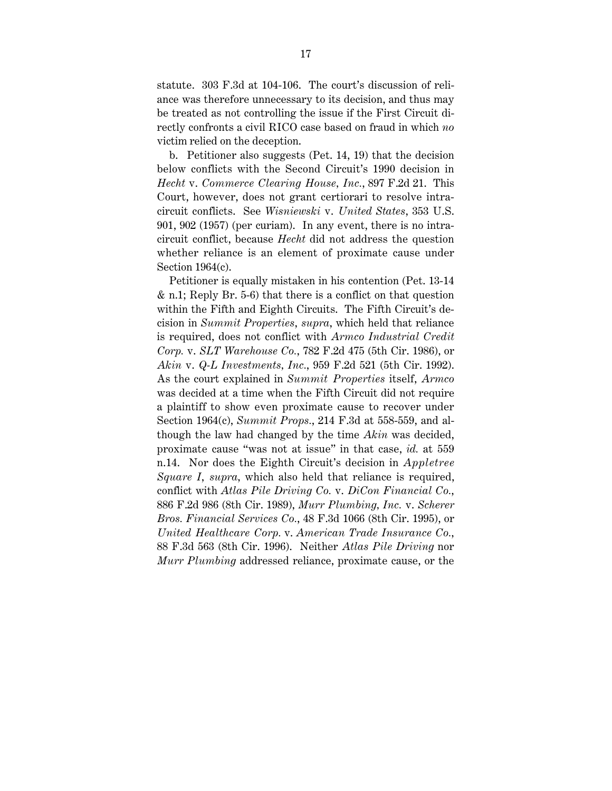statute. 303 F.3d at 104-106. The court's discussion of reliance was therefore unnecessary to its decision, and thus may be treated as not controlling the issue if the First Circuit directly confronts a civil RICO case based on fraud in which *no* victim relied on the deception.

b. Petitioner also suggests (Pet. 14, 19) that the decision below conflicts with the Second Circuit's 1990 decision in *Hecht* v. *Commerce Clearing House, Inc.*, 897 F.2d 21. This Court, however, does not grant certiorari to resolve intracircuit conflicts. See *Wisniewski* v. *United States*, 353 U.S. 901, 902 (1957) (per curiam). In any event, there is no intracircuit conflict, because *Hecht* did not address the question whether reliance is an element of proximate cause under Section 1964(c).

Petitioner is equally mistaken in his contention (Pet. 13-14 & n.1; Reply Br. 5-6) that there is a conflict on that question within the Fifth and Eighth Circuits. The Fifth Circuit's decision in *Summit Properties*, *supra*, which held that reliance is required, does not conflict with *Armco Industrial Credit Corp.* v. *SLT Warehouse Co.*, 782 F.2d 475 (5th Cir. 1986), or *Akin* v. *Q-L Investments, Inc.*, 959 F.2d 521 (5th Cir. 1992). As the court explained in *Summit Properties* itself, *Armco* was decided at a time when the Fifth Circuit did not require a plaintiff to show even proximate cause to recover under Section 1964(c), *Summit Props.*, 214 F.3d at 558-559, and although the law had changed by the time *Akin* was decided, proximate cause "was not at issue" in that case, *id.* at 559 n.14. Nor does the Eighth Circuit's decision in *Appletree Square I*, *supra*, which also held that reliance is required, conflict with *Atlas Pile Driving Co.* v. *DiCon Financial Co.*, 886 F.2d 986 (8th Cir. 1989), *Murr Plumbing, Inc.* v. *Scherer Bros. Financial Services Co.*, 48 F.3d 1066 (8th Cir. 1995), or *United Healthcare Corp.* v. *American Trade Insurance Co.*, 88 F.3d 563 (8th Cir. 1996). Neither *Atlas Pile Driving* nor *Murr Plumbing* addressed reliance, proximate cause, or the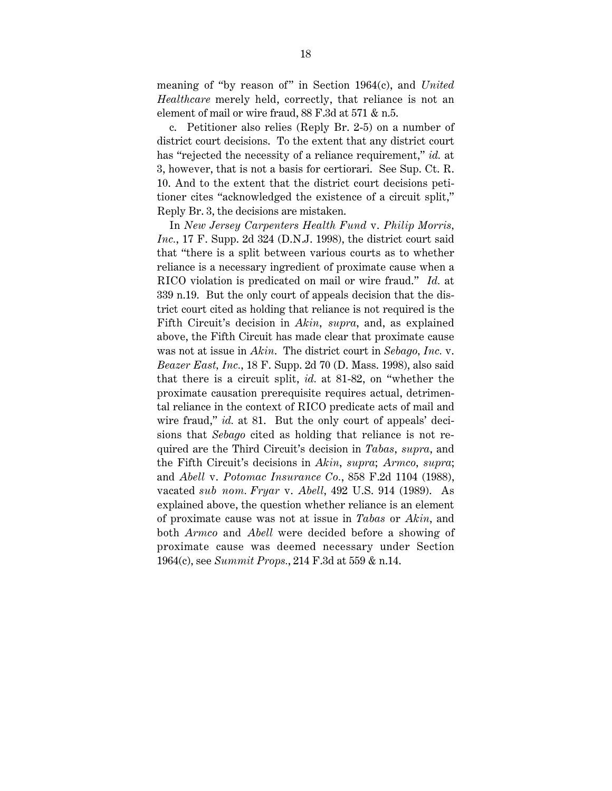meaning of "by reason of" in Section 1964(c), and *United Healthcare* merely held, correctly, that reliance is not an element of mail or wire fraud, 88 F.3d at 571 & n.5.

c. Petitioner also relies (Reply Br. 2-5) on a number of district court decisions. To the extent that any district court has "rejected the necessity of a reliance requirement," *id.* at 3, however, that is not a basis for certiorari. See Sup. Ct. R. 10. And to the extent that the district court decisions petitioner cites "acknowledged the existence of a circuit split," Reply Br. 3, the decisions are mistaken.

In *New Jersey Carpenters Health Fund* v. *Philip Morris, Inc.*, 17 F. Supp. 2d 324 (D.N.J. 1998), the district court said that "there is a split between various courts as to whether reliance is a necessary ingredient of proximate cause when a RICO violation is predicated on mail or wire fraud." *Id.* at 339 n.19. But the only court of appeals decision that the district court cited as holding that reliance is not required is the Fifth Circuit's decision in *Akin*, *supra*, and, as explained above, the Fifth Circuit has made clear that proximate cause was not at issue in *Akin*. The district court in *Sebago, Inc.* v. *Beazer East, Inc.*, 18 F. Supp. 2d 70 (D. Mass. 1998), also said that there is a circuit split, *id.* at 81-82, on "whether the proximate causation prerequisite requires actual, detrimental reliance in the context of RICO predicate acts of mail and wire fraud," *id.* at 81. But the only court of appeals' decisions that *Sebago* cited as holding that reliance is not required are the Third Circuit's decision in *Tabas*, *supra*, and the Fifth Circuit's decisions in *Akin*, *supra*; *Armco*, *supra*; and *Abell* v. *Potomac Insurance Co.*, 858 F.2d 1104 (1988), vacated *sub nom. Fryar* v. *Abell*, 492 U.S. 914 (1989). As explained above, the question whether reliance is an element of proximate cause was not at issue in *Tabas* or *Akin*, and both *Armco* and *Abell* were decided before a showing of proximate cause was deemed necessary under Section 1964(c), see *Summit Props.*, 214 F.3d at 559 & n.14.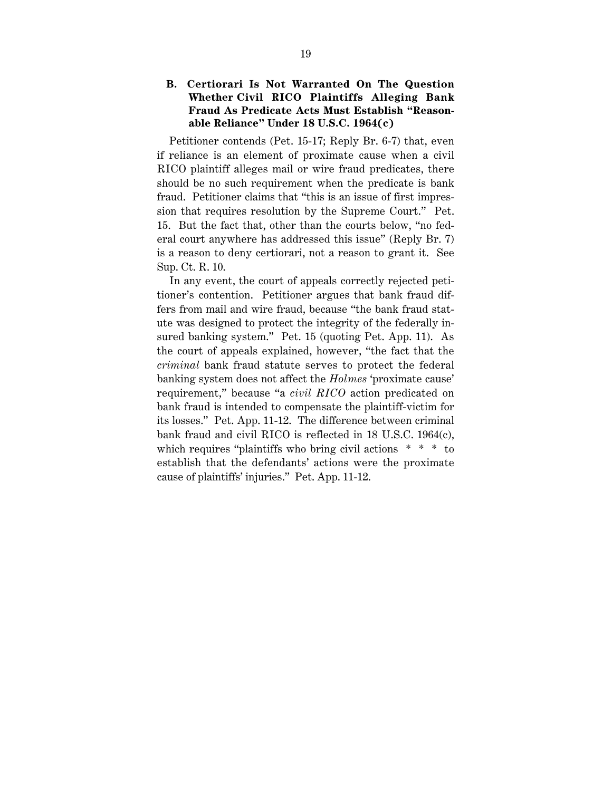#### **B. Certiorari Is Not Warranted On The Question Whether Civil RICO Plaintiffs Alleging Bank Fraud As Predicate Acts Must Establish "Reasonable Reliance" Under 18 U.S.C. 1964(c)**

Petitioner contends (Pet. 15-17; Reply Br. 6-7) that, even if reliance is an element of proximate cause when a civil RICO plaintiff alleges mail or wire fraud predicates, there should be no such requirement when the predicate is bank fraud. Petitioner claims that "this is an issue of first impression that requires resolution by the Supreme Court." Pet. 15. But the fact that, other than the courts below, "no federal court anywhere has addressed this issue" (Reply Br. 7) is a reason to deny certiorari, not a reason to grant it. See Sup. Ct. R. 10.

In any event, the court of appeals correctly rejected petitioner's contention. Petitioner argues that bank fraud differs from mail and wire fraud, because "the bank fraud statute was designed to protect the integrity of the federally insured banking system." Pet. 15 (quoting Pet. App. 11). As the court of appeals explained, however, "the fact that the *criminal* bank fraud statute serves to protect the federal banking system does not affect the *Holmes* 'proximate cause' requirement," because "a *civil RICO* action predicated on bank fraud is intended to compensate the plaintiff-victim for its losses." Pet. App. 11-12. The difference between criminal bank fraud and civil RICO is reflected in 18 U.S.C. 1964(c), which requires "plaintiffs who bring civil actions  $* * * t$ establish that the defendants' actions were the proximate cause of plaintiffs' injuries." Pet. App. 11-12.